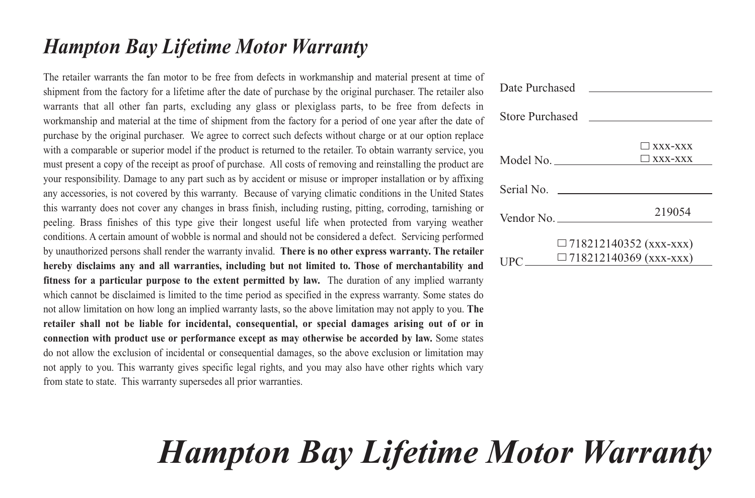### *Hampton Bay Lifetime Motor Warranty*

The retailer warrants the fan motor to be free from defects in workmanship and material present at time of shipment from the factory for a lifetime after the date of purchase by the original purchaser. The retailer also warrants that all other fan parts, excluding any glass or plexiglass parts, to be free from defects in workmanship and material at the time of shipment from the factory for a period of one year after the date of purchase by the original purchaser. We agree to correct such defects without charge or at our option replace with a comparable or superior model if the product is returned to the retailer. To obtain warranty service, you must present a copy of the receipt as proof of purchase. All costs of removing and reinstalling the product are your responsibility. Damage to any part such as by accident or misuse or improper installation or by affixing any accessories, is not covered by this warranty. Because of varying climatic conditions in the United States this warranty does not cover any changes in brass finish, including rusting, pitting, corroding, tarnishing or peeling. Brass finishes of this type give their longest useful life when protected from varying weather conditions. A certain amount of wobble is normal and should not be considered a defect. Servicing performed by unauthorized persons shall render the warranty invalid. **There is no other express warranty. The retailer hereby disclaims any and all warranties, including but not limited to. Those of merchantability and fitness for a particular purpose to the extent permitted by law.** The duration of any implied warranty which cannot be disclaimed is limited to the time period as specified in the express warranty. Some states do not allow limitation on how long an implied warranty lasts, so the above limitation may not apply to you. **The retailer shall not be liable for incidental, consequential, or special damages arising out of or in connection with product use or performance except as may otherwise be accorded by law.** Some states do not allow the exclusion of incidental or consequential damages, so the above exclusion or limitation may not apply to you. This warranty gives specific legal rights, and you may also have other rights which vary from state to state. This warranty supersedes all prior warranties.

| Date Purchased                                                                |                                                                |
|-------------------------------------------------------------------------------|----------------------------------------------------------------|
| Store Purchased                                                               |                                                                |
| Model No.                                                                     | $\Box$ XXX-XXX<br>$\Box$ xxx-xxx                               |
|                                                                               | Serial No.                                                     |
| Vendor No. $\_\_\_\_\_\_\_\_\_\_\_\_\_\_\_\_\_\_\_\_\_\_\_\_\_\_\_\_\_\_\_\_$ | 219054                                                         |
| IPC.                                                                          | $\Box$ 718212140352 (xxx-xxx)<br>$\Box$ 718212140369 (xxx-xxx) |

# *Hampton Bay Lifetime Motor Warranty*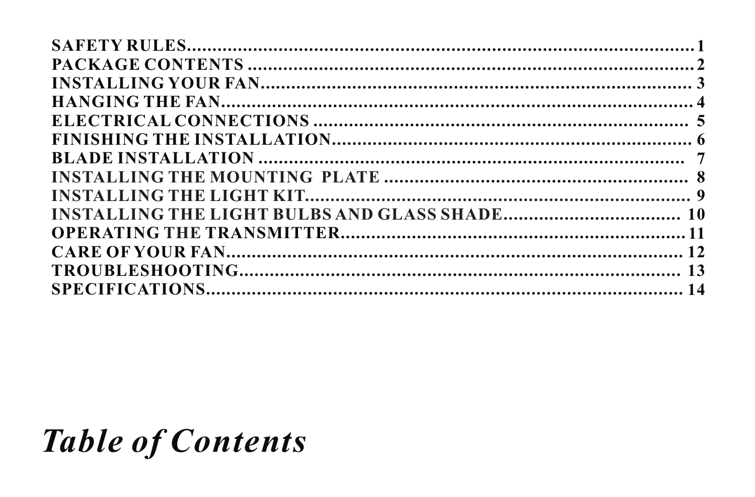## **Table of Contents**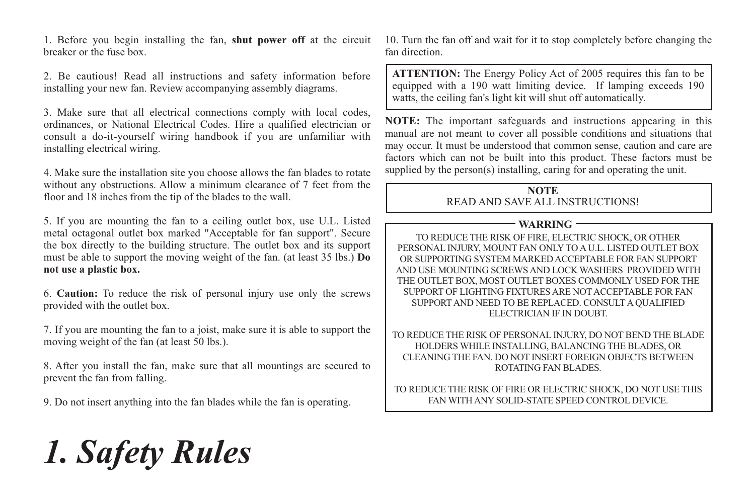1. Before you begin installing the fan, **shut power off** at the circuit breaker or the fuse box.

2. Be cautious! Read all instructions and safety information before installing your new fan. Review accompanying assembly diagrams.

3. Make sure that all electrical connections comply with local codes, ordinances, or National Electrical Codes. Hire a qualified electrician or consult a do-it-yourself wiring handbook if you are unfamiliar with installing electrical wiring.

4. Make sure the installation site you choose allows the fan blades to rotate without any obstructions. Allow a minimum clearance of 7 feet from the floor and 18 inches from the tip of the blades to the wall.

5. If you are mounting the fan to a ceiling outlet box, use U.L. Listed metal octagonal outlet box marked "Acceptable for fan support". Secure the box directly to the building structure. The outlet box and its support must be able to support the moving weight of the fan. (at least 35 lbs.) **Do not use a plastic box.**

6. **Caution:** To reduce the risk of personal injury use only the screws provided with the outlet box.

7. If you are mounting the fan to a joist, make sure it is able to support the moving weight of the fan (at least 50 lbs.).

8. After you install the fan, make sure that all mountings are secured to prevent the fan from falling.

9. Do not insert anything into the fan blades while the fan is operating.

10. Turn the fan off and wait for it to stop completely before changing the fan direction.

**ATTENTION:** The Energy Policy Act of 2005 requires this fan to be equipped with a 190 watt limiting device. If lamping exceeds 190 watts, the ceiling fan's light kit will shut off automatically.

**NOTE:** The important safeguards and instructions appearing in this manual are not meant to cover all possible conditions and situations that may occur. It must be understood that common sense, caution and care are factors which can not be built into this product. These factors must be supplied by the person(s) installing, caring for and operating the unit.

#### **NOTE** READ AND SAVE ALL INSTRUCTIONS!

#### **WARRING**

TO REDUCE THE RISK OF FIRE, ELECTRIC SHOCK, OR OTHER PERSONAL INJURY, MOUNT FAN ONLY TO A U.L. LISTED OUTLET BOX OR SUPPORTING SYSTEM MARKED ACCEPTABLE FOR FAN SUPPORT AND USE MOUNTING SCREWS AND LOCK WASHERS PROVIDED WITH THE OUTLET BOX, MOST OUTLET BOXES COMMONLY USED FOR THE SUPPORT OF LIGHTING FIXTURES ARE NOT ACCEPTABLE FOR FAN SUPPORT AND NEED TO BE REPLACED. CONSULT A QUALIFIED ELECTRICIAN IF IN DOUBT.

TO REDUCE THE RISK OF PERSONAL INJURY, DO NOT BEND THE BLADE HOLDERS WHILE INSTALLING, BALANCING THE BLADES, OR CLEANING THE FAN. DO NOT INSERT FOREIGN OBJECTS BETWEEN ROTATING FAN BLADES.

TO REDUCE THE RISK OF FIRE OR ELECTRIC SHOCK, DO NOT USE THIS FAN WITH ANY SOLID-STATE SPEED CONTROL DEVICE.

# *1. Safety Rules*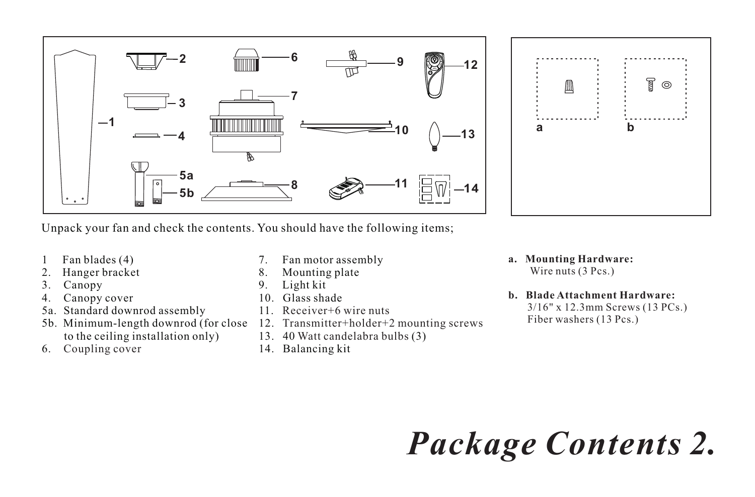



Unpack your fan and check the contents. You should have the following items;

- 1 Fan blades (4)
- 2. Hanger bracket<br>3. Canony
- Canopy
- 4. Canopy cover
- 5a. Standard downrod assembly
- 5b. Minimum-length downrod (for close to the ceiling installation only)
- 6. Coupling cover
- 7. Fan motor assembly
- 8. Mounting plate<br>9. Light kit
- Light kit
- 10. Glass shade
- 11. Receiver+6 wire nuts
- 12. Transmitter+holder+2 mounting screws
- 13. 40 Watt candelabra bulbs (3)
- 14. Balancing kit
- **a. Mounting Hardware:** Wire nuts (3 Pcs.)
- **b. Blade Attachment Hardware:**

3/16" x 12.3mm Screws (13 PCs.) Fiber washers (13 Pcs.)

*Package Contents 2.*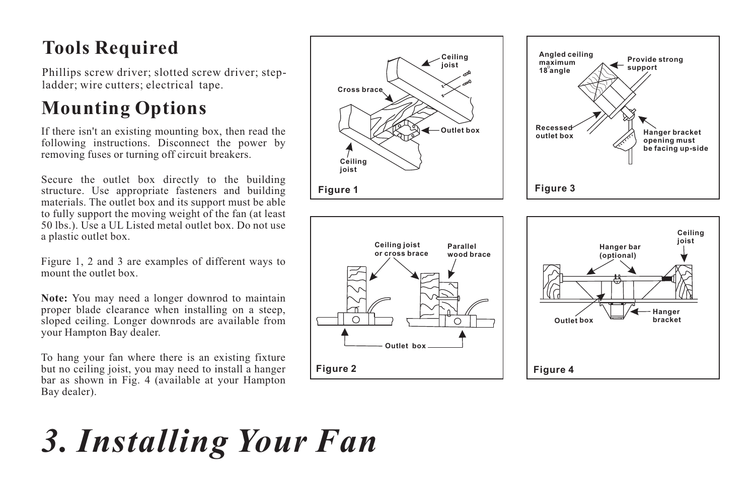### **Tools Required**

Phillips screw driver; slotted screw driver; stepladder; wire cutters; electrical tape.

### **Mounting Options**

If there isn't an existing mounting box, then read the following instructions. Disconnect the power by removing fuses or turning off circuit breakers.

Secure the outlet box directly to the building structure. Use appropriate fasteners and building materials. The outlet box and its support must be able to fully support the moving weight of the fan (at least 50 lbs.). Use a UL Listed metal outlet box. Do not use a plastic outlet box.

Figure 1, 2 and 3 are examples of different ways to mount the outlet box.

**Note:** You may need a longer downrod to maintain proper blade clearance when installing on a steep, sloped ceiling. Longer downrods are available from your Hampton Bay dealer.

To hang your fan where there is an existing fixture but no ceiling joist, you may need to install a hanger bar as shown in Fig. 4 (available at your Hampton Bay dealer).



# *3. Installing Your Fan*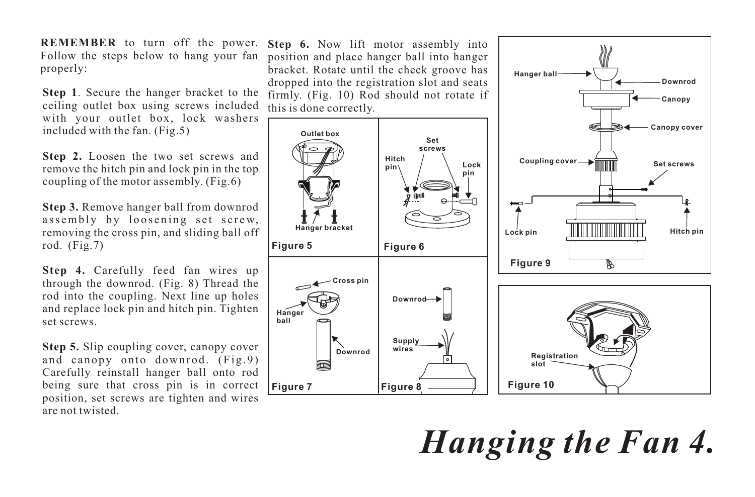**REMEMBER** to turn off the power. Follow the steps below to hang your fan properly:

**Step 1**. Secure the hanger bracket to the ceiling outlet box using screws included with your outlet box, lock washers included with the fan. (Fig.5)

**Step 2.** Loosen the two set screws and remove the hitch pin and lock pin in the top coupling of the motor assembly. (Fig.6)

**Step 3.** Remove hanger ball from downrod assembly by loosening set screw, removing the cross pin, and sliding ball off rod.  $(Fig.7)$ 

**Step 4.** Carefully feed fan wires up through the downrod. (Fig. 8) Thread the rod into the coupling. Next line up holes and replace lock pin and hitch pin. Tighten set screws.

**Step 5.** Slip coupling cover, canopy cover and canopy onto downrod. (Fig.9) Carefully reinstall hanger ball onto rod being sure that cross pin is in correct position, set screws are tighten and wires are not twisted.

**Step 6.** Now lift motor assembly into position and place hanger ball into hanger bracket. Rotate until the check groove has dropped into the registration slot and seats firmly. (Fig. 10) Rod should not rotate if this is done correctly.



**Hanger ball**

*Hanging the Fan 4.*

**Downrod**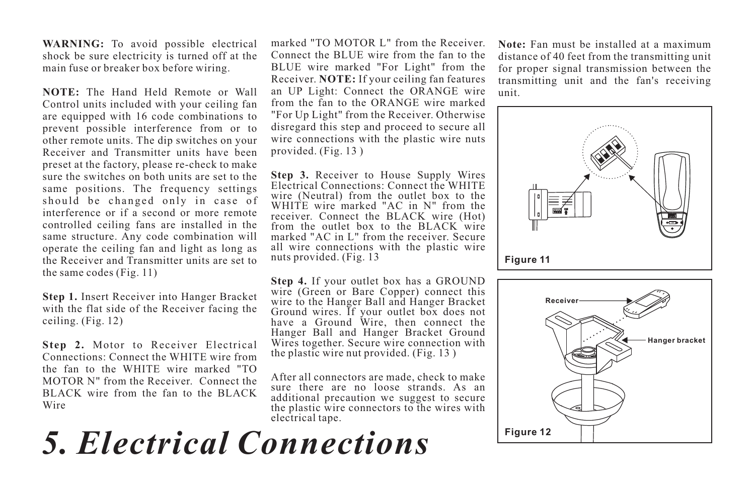**WARNING:** To avoid possible electrical shock be sure electricity is turned off at the main fuse or breaker box before wiring.

**NOTE:** The Hand Held Remote or Wall Control units included with your ceiling fan are equipped with 16 code combinations to prevent possible interference from or to other remote units. The dip switches on your Receiver and Transmitter units have been preset at the factory, please re-check to make sure the switches on both units are set to the same positions. The frequency settings should be changed only in case of interference or if a second or more remote controlled ceiling fans are installed in the same structure. Any code combination will operate the ceiling fan and light as long as the Receiver and Transmitter units are set to the same codes (Fig. 11)

**Step 1.** Insert Receiver into Hanger Bracket with the flat side of the Receiver facing the ceiling. (Fig. 12)

**Step 2.** Motor to Receiver Electrical Connections: Connect the WHITE wire from the fan to the WHITE wire marked "TO MOTOR N" from the Receiver. Connect the BLACK wire from the fan to the BLACK Wire

marked "TO MOTOR L" from the Receiver. Connect the BLUE wire from the fan to the BLUE wire marked "For Light" from the Receiver. **NOTE:** If your ceiling fan features an UP Light: Connect the ORANGE wire from the fan to the ORANGE wire marked "For Up Light" from the Receiver. Otherwise disregard this step and proceed to secure all wire connections with the plastic wire nuts provided. (Fig. 13 )

**Step 3.** Receiver to House Supply Wires Electrical Connections: Connect the WHITE wire (Neutral) from the outlet box to the WHITE wire marked "AC in N" from the receiver. Connect the BLACK wire (Hot) from the outlet box to the BLACK wire marked "AC in L" from the receiver. Secure all wire connections with the plastic wire nuts provided. (Fig. 13

**Step 4.** If your outlet box has a GROUND wire (Green or Bare Copper) connect this wire to the Hanger Ball and Hanger Bracket Ground wires. If your outlet box does not have a Ground Wire, then connect the Hanger Ball and Hanger Bracket Ground Wires together. Secure wire connection with the plastic wire nut provided. (Fig. 13 )

After all connectors are made, check to make sure there are no loose strands. As an additional precaution we suggest to secure the plastic wire connectors to the wires with electrical tape.

## *5. Electrical Connections*

**Note:** Fan must be installed at a maximum distance of 40 feet from the transmitting unit for proper signal transmission between the transmitting unit and the fan's receiving unit.



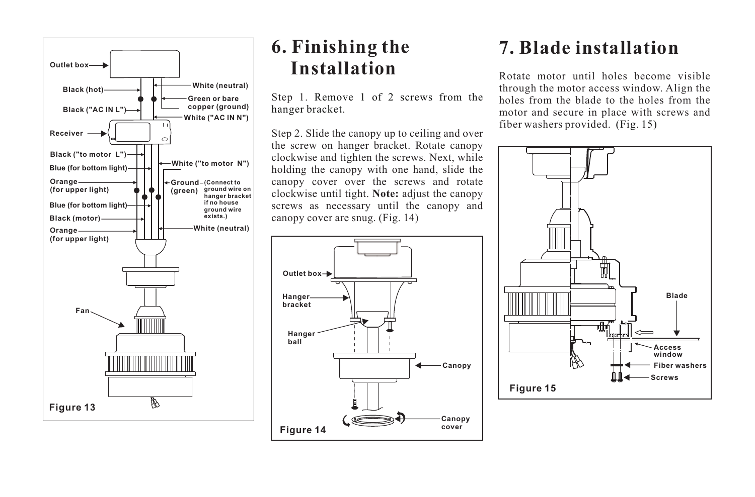

#### **6. Finishing the Installation**

Step 1. Remove 1 of 2 screws from the hanger bracket.

Step 2. Slide the canopy up to ceiling and over the screw on hanger bracket. Rotate canopy clockwise and tighten the screws. Next, while holding the canopy with one hand, slide the canopy cover over the screws and rotate clockwise until tight. **Note:** adjust the canopy screws as necessary until the canopy and canopy cover are snug. (Fig. 14)



### **7. Blade installation**

Rotate motor until holes become visible through the motor access window. Align the holes from the blade to the holes from the motor and secure in place with screws and fiber washers provided. (Fig. 15)

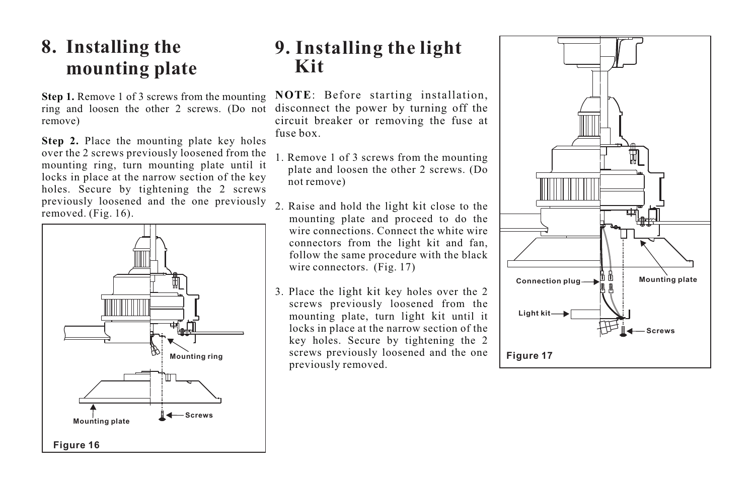#### **8. Installing the mounting plate**

**Step 1.** Remove 1 of 3 screws from the mounting ring and loosen the other 2 screws. (Do not remove)

**Step 2.** Place the mounting plate key holes over the 2 screws previously loosened from the mounting ring, turn mounting plate until it locks in place at the narrow section of the key holes. Secure by tightening the 2 screws previously loosened and the one previously removed. (Fig. 16).



#### **9. Installing the light Kit**

**NOTE**: Before starting installation, disconnect the power by turning off the circuit breaker or removing the fuse at fuse box.

- 1. Remove 1 of 3 screws from the mounting plate and loosen the other 2 screws. (Do not remove)
- 2. Raise and hold the light kit close to the mounting plate and proceed to do the wire connections. Connect the white wire connectors from the light kit and fan, follow the same procedure with the black wire connectors. (Fig. 17)
- 3. Place the light kit key holes over the 2 screws previously loosened from the mounting plate, turn light kit until it locks in place at the narrow section of the key holes. Secure by tightening the 2 screws previously loosened and the one previously removed.

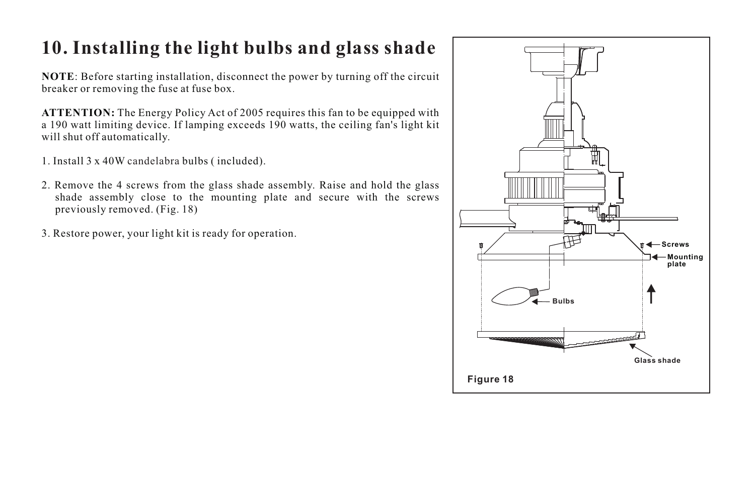#### **10. Installing the light bulbs and glass shade**

**NOTE**: Before starting installation, disconnect the power by turning off the circuit breaker or removing the fuse at fuse box.

**ATTENTION:** The Energy Policy Act of 2005 requires this fan to be equipped with a 190 watt limiting device. If lamping exceeds 190 watts, the ceiling fan's light kit will shut off automatically.

- 1. Install 3 x 40W candelabra bulbs (included).
- 2. Remove the 4 screws from the glass shade assembly. Raise and hold the glass shade assembly close to the mounting plate and secure with the screws previously removed. (Fig. 18)
- 3. Restore power, your light kit is ready for operation.

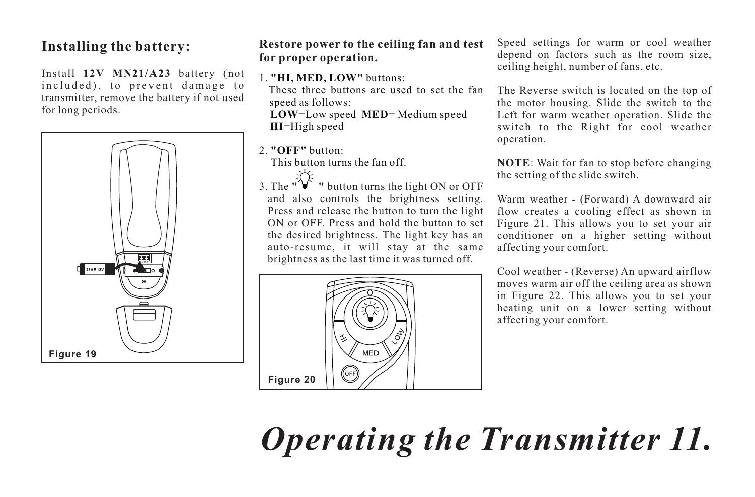#### **Installing the battery:**

Install **12V MN21/A23** battery (not included), to prevent damage to transmitter, remove the battery if not used for long periods.



#### **Restore power to the ceiling fan and test for proper operation.**

1. **"HI, MED, LOW"** buttons:

These three buttons are used to set the fan speed as follows:

**LOW**=Low speed **MED**= Medium speed **HI**=High speed

2. **"OFF"** button:

This button turns the fan off.

3. The  $\sqrt{\frac{1}{2}}$  **"** button turns the light ON or OFF and also controls the brightness setting. Press and release the button to turn the light ON or OFF. Press and hold the button to set the desired brightness. The light key has an auto-resume, it will stay at the same brightness as the last time it was turned off.



Speed settings for warm or cool weather depend on factors such as the room size, ceiling height, number of fans, etc.

The Reverse switch is located on the top of the motor housing. Slide the switch to the Left for warm weather operation. Slide the switch to the Right for cool weather operation.

**NOTE**: Wait for fan to stop before changing the setting of the slide switch.

Warm weather - (Forward) A downward air flow creates a cooling effect as shown in Figure 21. This allows you to set your air conditioner on a higher setting without affecting your comfort.

Cool weather - (Reverse) An upward airflow moves warm air off the ceiling area as shown in Figure 22. This allows you to set your heating unit on a lower setting without affecting your comfort.

*Operating the Transmitter 11.*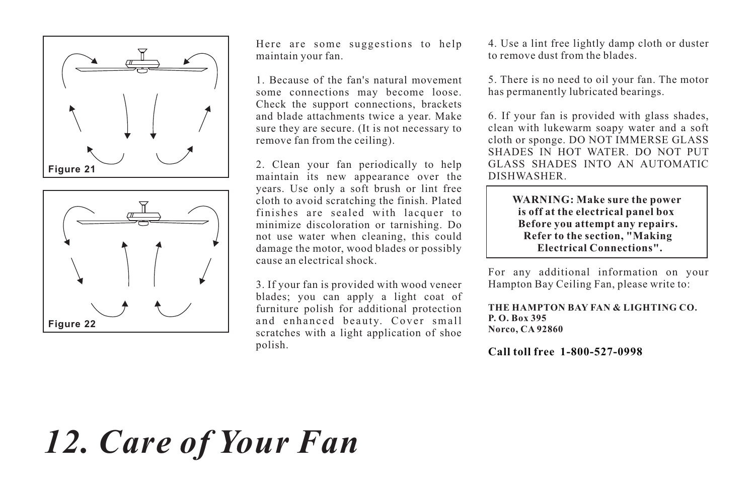



Here are some suggestions to help maintain your fan.

1. Because of the fan's natural movement some connections may become loose. Check the support connections, brackets and blade attachments twice a year. Make sure they are secure. (It is not necessary to remove fan from the ceiling).

2. Clean your fan periodically to help maintain its new appearance over the years. Use only a soft brush or lint free cloth to avoid scratching the finish. Plated finishes are sealed with lacquer to minimize discoloration or tarnishing. Do not use water when cleaning, this could damage the motor, wood blades or possibly cause an electrical shock.

3. If your fan is provided with wood veneer blades; you can apply a light coat of furniture polish for additional protection and enhanced beauty. Cover small scratches with a light application of shoe polish.

4. Use a lint free lightly damp cloth or duster to remove dust from the blades.

5. There is no need to oil your fan. The motor has permanently lubricated bearings.

6. If your fan is provided with glass shades, clean with lukewarm soapy water and a soft cloth or sponge. DO NOT IMMERSE GLASS SHADES IN HOT WATER. DO NOT PUT GLASS SHADES INTO AN AUTOMATIC DISHWASHER.

> **WARNING: Make sure the power is off at the electrical panel box Before you attempt any repairs. Refer to the section, "Making Electrical Connections".**

For any additional information on your Hampton Bay Ceiling Fan, please write to:

**THE HAMPTON BAY FAN & LIGHTING CO. P. O. Box 395 Norco, CA 92860**

**Call toll free 1-800-527-0998**

## *12. Care of Your Fan*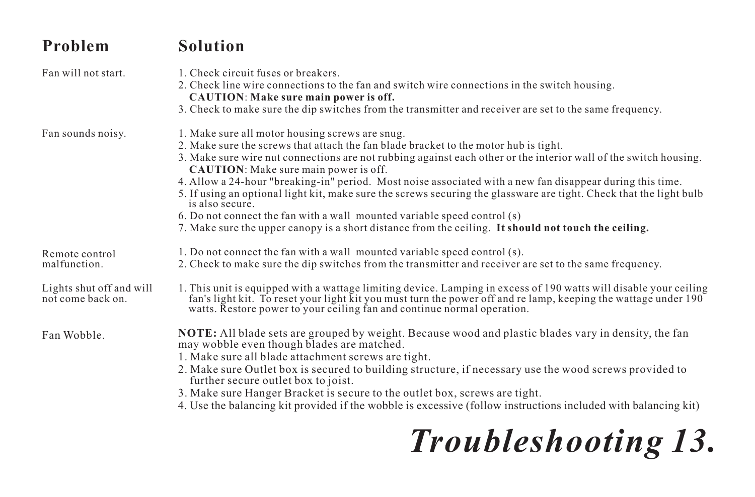| Problem                                       | <b>Solution</b>                                                                                                                                                                                                                                                                                                                                                                                                                                                                                                                                                                                                                                                                                                                                        |
|-----------------------------------------------|--------------------------------------------------------------------------------------------------------------------------------------------------------------------------------------------------------------------------------------------------------------------------------------------------------------------------------------------------------------------------------------------------------------------------------------------------------------------------------------------------------------------------------------------------------------------------------------------------------------------------------------------------------------------------------------------------------------------------------------------------------|
| Fan will not start.                           | 1. Check circuit fuses or breakers.<br>2. Check line wire connections to the fan and switch wire connections in the switch housing.<br><b>CAUTION: Make sure main power is off.</b><br>3. Check to make sure the dip switches from the transmitter and receiver are set to the same frequency.                                                                                                                                                                                                                                                                                                                                                                                                                                                         |
| Fan sounds noisy.                             | 1. Make sure all motor housing screws are snug.<br>2. Make sure the screws that attach the fan blade bracket to the motor hub is tight.<br>3. Make sure wire nut connections are not rubbing against each other or the interior wall of the switch housing.<br><b>CAUTION:</b> Make sure main power is off.<br>4. Allow a 24-hour "breaking-in" period. Most noise associated with a new fan disappear during this time.<br>5. If using an optional light kit, make sure the screws securing the glassware are tight. Check that the light bulb<br>is also secure.<br>6. Do not connect the fan with a wall mounted variable speed control (s)<br>7. Make sure the upper canopy is a short distance from the ceiling. It should not touch the ceiling. |
| Remote control<br>malfunction.                | 1. Do not connect the fan with a wall mounted variable speed control (s).<br>2. Check to make sure the dip switches from the transmitter and receiver are set to the same frequency.                                                                                                                                                                                                                                                                                                                                                                                                                                                                                                                                                                   |
| Lights shut off and will<br>not come back on. | 1. This unit is equipped with a wattage limiting device. Lamping in excess of 190 watts will disable your ceiling<br>fan's light kit. To reset your light kit you must turn the power off and relamp, keeping the wattage under 190<br>watts. Restore power to your ceiling fan and continue normal operation.                                                                                                                                                                                                                                                                                                                                                                                                                                         |
| Fan Wobble.                                   | NOTE: All blade sets are grouped by weight. Because wood and plastic blades vary in density, the fan<br>may wobble even though blades are matched.<br>1. Make sure all blade attachment screws are tight.<br>2. Make sure Outlet box is secured to building structure, if necessary use the wood screws provided to<br>further secure outlet box to joist.<br>3. Make sure Hanger Bracket is secure to the outlet box, screws are tight.<br>4. Use the balancing kit provided if the wobble is excessive (follow instructions included with balancing kit)                                                                                                                                                                                             |

# *Troubleshooting 13.*